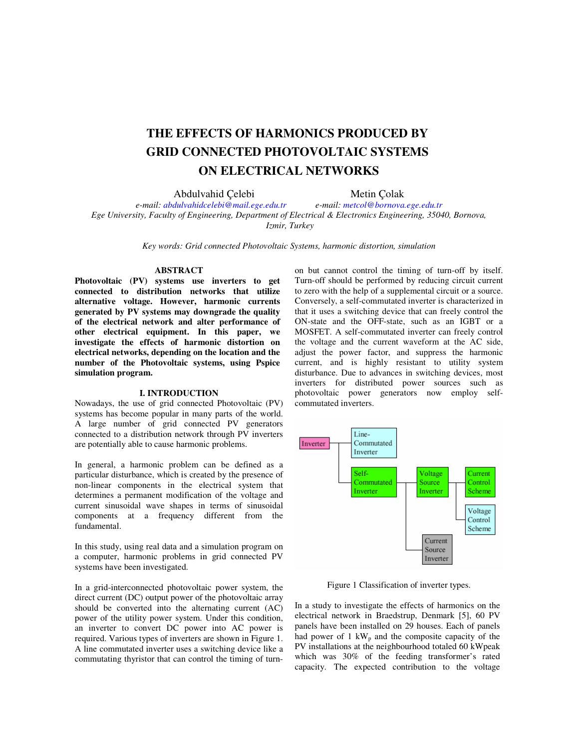# **THE EFFECTS OF HARMONICS PRODUCED BY GRID CONNECTED PHOTOVOLTAIC SYSTEMS ON ELECTRICAL NETWORKS**

Abdulvahid Çelebi Metin Çolak

*e-mail: abdulvahidcelebi@mail.ege.edu.tr e-mail: metcol@bornova.ege.edu.tr Ege University, Faculty of Engineering, Department of Electrical & Electronics Engineering, 35040, Bornova, Izmir, Turkey* 

*Key words: Grid connected Photovoltaic Systems, harmonic distortion, simulation* 

## **ABSTRACT**

**Photovoltaic (PV) systems use inverters to get connected to distribution networks that utilize alternative voltage. However, harmonic currents generated by PV systems may downgrade the quality of the electrical network and alter performance of other electrical equipment. In this paper, we investigate the effects of harmonic distortion on electrical networks, depending on the location and the number of the Photovoltaic systems, using Pspice simulation program.** 

### **I. INTRODUCTION**

Nowadays, the use of grid connected Photovoltaic (PV) systems has become popular in many parts of the world. A large number of grid connected PV generators connected to a distribution network through PV inverters are potentially able to cause harmonic problems.

In general, a harmonic problem can be defined as a particular disturbance, which is created by the presence of non-linear components in the electrical system that determines a permanent modification of the voltage and current sinusoidal wave shapes in terms of sinusoidal components at a frequency different from the fundamental.

In this study, using real data and a simulation program on a computer, harmonic problems in grid connected PV systems have been investigated.

In a grid-interconnected photovoltaic power system, the direct current (DC) output power of the photovoltaic array should be converted into the alternating current (AC) power of the utility power system. Under this condition, an inverter to convert DC power into AC power is required. Various types of inverters are shown in Figure 1. A line commutated inverter uses a switching device like a commutating thyristor that can control the timing of turn-

on but cannot control the timing of turn-off by itself. Turn-off should be performed by reducing circuit current to zero with the help of a supplemental circuit or a source. Conversely, a self-commutated inverter is characterized in that it uses a switching device that can freely control the ON-state and the OFF-state, such as an IGBT or a MOSFET. A self-commutated inverter can freely control the voltage and the current waveform at the AC side, adjust the power factor, and suppress the harmonic current, and is highly resistant to utility system disturbance. Due to advances in switching devices, most inverters for distributed power sources such as photovoltaic power generators now employ selfcommutated inverters.



Figure 1 Classification of inverter types.

In a study to investigate the effects of harmonics on the electrical network in Braedstrup, Denmark [5], 60 PV panels have been installed on 29 houses. Each of panels had power of 1  $kW_p$  and the composite capacity of the PV installations at the neighbourhood totaled 60 kWpeak which was 30% of the feeding transformer's rated capacity. The expected contribution to the voltage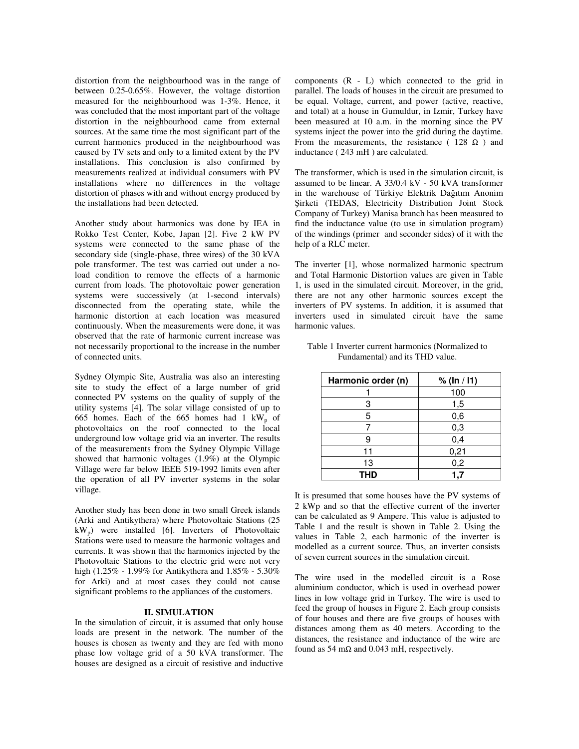distortion from the neighbourhood was in the range of between 0.25-0.65%. However, the voltage distortion measured for the neighbourhood was 1-3%. Hence, it was concluded that the most important part of the voltage distortion in the neighbourhood came from external sources. At the same time the most significant part of the current harmonics produced in the neighbourhood was caused by TV sets and only to a limited extent by the PV installations. This conclusion is also confirmed by measurements realized at individual consumers with PV installations where no differences in the voltage distortion of phases with and without energy produced by the installations had been detected.

Another study about harmonics was done by IEA in Rokko Test Center, Kobe, Japan [2]. Five 2 kW PV systems were connected to the same phase of the secondary side (single-phase, three wires) of the 30 kVA pole transformer. The test was carried out under a noload condition to remove the effects of a harmonic current from loads. The photovoltaic power generation systems were successively (at 1-second intervals) disconnected from the operating state, while the harmonic distortion at each location was measured continuously. When the measurements were done, it was observed that the rate of harmonic current increase was not necessarily proportional to the increase in the number of connected units.

Sydney Olympic Site, Australia was also an interesting site to study the effect of a large number of grid connected PV systems on the quality of supply of the utility systems [4]. The solar village consisted of up to 665 homes. Each of the 665 homes had 1  $kW_p$  of photovoltaics on the roof connected to the local underground low voltage grid via an inverter. The results of the measurements from the Sydney Olympic Village showed that harmonic voltages (1.9%) at the Olympic Village were far below IEEE 519-1992 limits even after the operation of all PV inverter systems in the solar village.

Another study has been done in two small Greek islands (Arki and Antikythera) where Photovoltaic Stations (25  $kW_p$ ) were installed [6]. Inverters of Photovoltaic Stations were used to measure the harmonic voltages and currents. It was shown that the harmonics injected by the Photovoltaic Stations to the electric grid were not very high (1.25% - 1.99% for Antikythera and 1.85% - 5.30% for Arki) and at most cases they could not cause significant problems to the appliances of the customers.

#### **II. SIMULATION**

In the simulation of circuit, it is assumed that only house loads are present in the network. The number of the houses is chosen as twenty and they are fed with mono phase low voltage grid of a 50 kVA transformer. The houses are designed as a circuit of resistive and inductive components (R - L) which connected to the grid in parallel. The loads of houses in the circuit are presumed to be equal. Voltage, current, and power (active, reactive, and total) at a house in Gumuldur, in Izmir, Turkey have been measured at 10 a.m. in the morning since the PV systems inject the power into the grid during the daytime. From the measurements, the resistance ( $128 \Omega$ ) and inductance ( 243 mH ) are calculated.

The transformer, which is used in the simulation circuit, is assumed to be linear. A 33/0.4 kV - 50 kVA transformer in the warehouse of Türkiye Elektrik Dağıtım Anonim Şirketi (TEDAS, Electricity Distribution Joint Stock Company of Turkey) Manisa branch has been measured to find the inductance value (to use in simulation program) of the windings (primer and seconder sides) of it with the help of a RLC meter.

The inverter [1], whose normalized harmonic spectrum and Total Harmonic Distortion values are given in Table 1, is used in the simulated circuit. Moreover, in the grid, there are not any other harmonic sources except the inverters of PV systems. In addition, it is assumed that inverters used in simulated circuit have the same harmonic values.

| Harmonic order (n) | % ( $ln / 11$ ) |
|--------------------|-----------------|
|                    | 100             |
| 3                  | 1,5             |
| 5                  | 0,6             |
|                    | 0,3             |
| 9                  | 0,4             |
| 11                 | 0,21            |
| 13                 | 0,2             |
| THD                |                 |

Table 1 Inverter current harmonics (Normalized to Fundamental) and its THD value.

It is presumed that some houses have the PV systems of 2 kWp and so that the effective current of the inverter can be calculated as 9 Ampere. This value is adjusted to Table 1 and the result is shown in Table 2. Using the values in Table 2, each harmonic of the inverter is modelled as a current source. Thus, an inverter consists of seven current sources in the simulation circuit.

The wire used in the modelled circuit is a Rose aluminium conductor, which is used in overhead power lines in low voltage grid in Turkey. The wire is used to feed the group of houses in Figure 2. Each group consists of four houses and there are five groups of houses with distances among them as 40 meters. According to the distances, the resistance and inductance of the wire are found as 54 m $\Omega$  and 0.043 mH, respectively.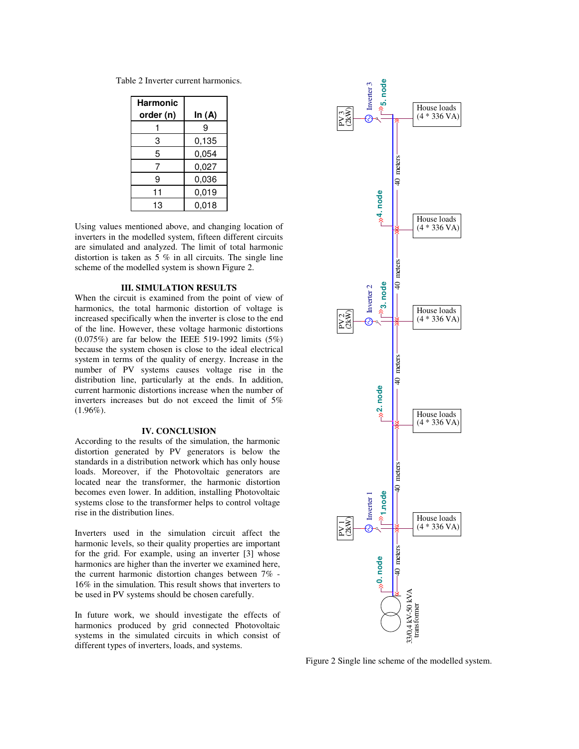Table 2 Inverter current harmonics.

| <b>Harmonic</b> |        |
|-----------------|--------|
| order (n)       | In (A) |
|                 | 9      |
| 3               | 0,135  |
| 5               | 0,054  |
| 7               | 0,027  |
| 9               | 0,036  |
| 11              | 0,019  |
| 13              | 0.018  |

Using values mentioned above, and changing location of inverters in the modelled system, fifteen different circuits are simulated and analyzed. The limit of total harmonic distortion is taken as 5 % in all circuits. The single line scheme of the modelled system is shown Figure 2.

#### **III. SIMULATION RESULTS**

When the circuit is examined from the point of view of harmonics, the total harmonic distortion of voltage is increased specifically when the inverter is close to the end of the line. However, these voltage harmonic distortions (0.075%) are far below the IEEE 519-1992 limits (5%) because the system chosen is close to the ideal electrical system in terms of the quality of energy. Increase in the number of PV systems causes voltage rise in the distribution line, particularly at the ends. In addition, current harmonic distortions increase when the number of inverters increases but do not exceed the limit of 5%  $(1.96\%).$ 

#### **IV. CONCLUSION**

According to the results of the simulation, the harmonic distortion generated by PV generators is below the standards in a distribution network which has only house loads. Moreover, if the Photovoltaic generators are located near the transformer, the harmonic distortion becomes even lower. In addition, installing Photovoltaic systems close to the transformer helps to control voltage rise in the distribution lines.

Inverters used in the simulation circuit affect the harmonic levels, so their quality properties are important for the grid. For example, using an inverter [3] whose harmonics are higher than the inverter we examined here, the current harmonic distortion changes between 7% - 16% in the simulation. This result shows that inverters to be used in PV systems should be chosen carefully.

In future work, we should investigate the effects of harmonics produced by grid connected Photovoltaic systems in the simulated circuits in which consist of different types of inverters, loads, and systems.



Figure 2 Single line scheme of the modelled system.